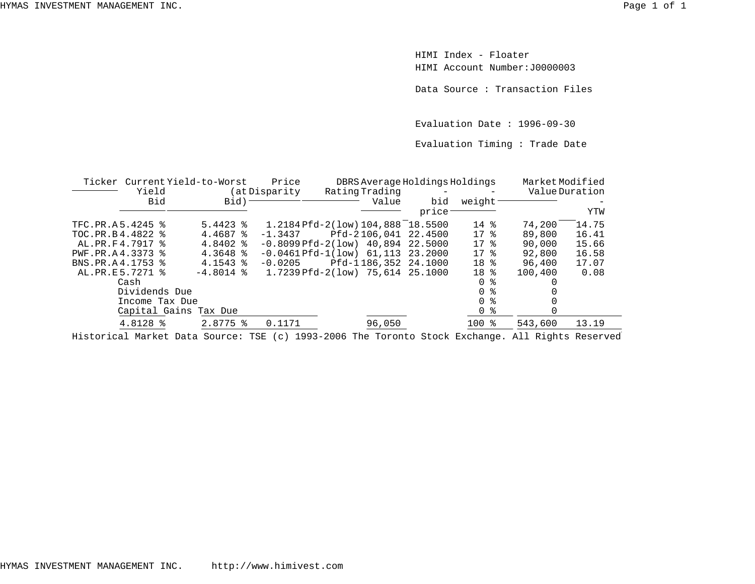HIMI Index - FloaterHIMI Account Number:J0000003

Data Source : Transaction Files

Evaluation Date : 1996-09-30

Evaluation Timing : Trade Date

|                    | Ticker Current Yield-to-Worst |                   | Price          | DBRS Average Holdings Holdings     |         |                     | MarketModified |       |
|--------------------|-------------------------------|-------------------|----------------|------------------------------------|---------|---------------------|----------------|-------|
|                    | Yield                         |                   | (at Disparity) | Rating Trading                     |         |                     | Value Duration |       |
|                    | Bid                           | Bid) <sup>-</sup> |                | Value                              | bid     | weight              |                |       |
|                    |                               |                   |                |                                    | price:  |                     |                | YTW   |
| TFC.PR.A5.4245 %   |                               | $5.4423$ $%$      |                | 1.2184 Pfd-2(low) 104,888 18.5500  |         | $14*$               | 74,200         | 14.75 |
| TOC.PR.B4.4822 %   |                               | 4.4687 %          | $-1.3437$      | Pfd-2106,041 22.4500               |         | $17*$               | 89,800         | 16.41 |
| AL.PR.F4.7917 %    |                               | $4.8402$ %        |                | $-0.8099Pfd-2(low)$ 40.894 22.5000 |         | 17 <sub>8</sub>     | 90,000         | 15.66 |
| PWF.PR.A4.3373 %   |                               | $4.3648$ %        |                | $-0.0461Pfd-1(low)$ 61,113         | 23.2000 | $17*$               | 92,800         | 16.58 |
| BNS.PR.A4.1753 %   |                               | $4.1543$ $*$      | $-0.0205$      | Pfd-1186,352 24.1000               |         | 18 <sup>8</sup>     | 96,400         | 17.07 |
| AL. PR. E 5.7271 % |                               | $-4.8014$ %       |                | 1.7239 Pfd-2(low) 75,614 25.1000   |         | 18 <sup>8</sup>     | 100,400        | 0.08  |
|                    | Cash                          |                   |                |                                    |         | ႜ<br>$\overline{0}$ |                |       |
|                    | Dividends Due                 |                   |                |                                    |         | 0 <sup>8</sup>      |                |       |
|                    | Income Tax Due                |                   |                |                                    |         | $0 \text{ }$ %      |                |       |
|                    | Capital Gains Tax Due         |                   |                |                                    |         | 0 <sup>8</sup>      |                |       |
|                    | 4.8128 %                      | $2.8775$ %        | 0.1171         | 96,050                             |         | $100$ %             | 543,600        | 13.19 |

Historical Market Data Source: TSE (c) 1993-2006 The Toronto Stock Exchange. All Rights Reserved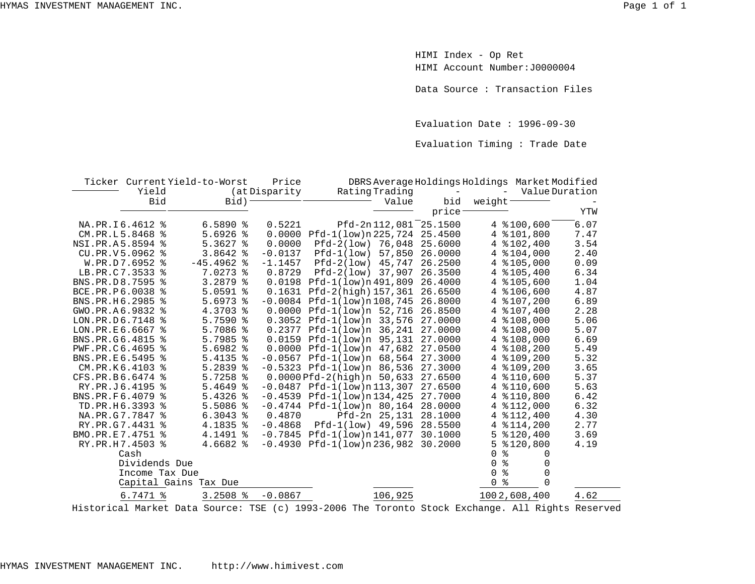HIMI Index - Op Ret HIMI Account Number:J0000004

Data Source : Transaction Files

Evaluation Date : 1996-09-30

Evaluation Timing : Trade Date

|                    |                 | Ticker Current Yield-to-Worst | Price         | DBRS Average Holdings Holdings Market Modified |         |                   |                |      |
|--------------------|-----------------|-------------------------------|---------------|------------------------------------------------|---------|-------------------|----------------|------|
|                    | Yield           |                               | (at Disparity | Rating Trading                                 |         | $\qquad \qquad -$ | Value Duration |      |
|                    | Bid             | Bid)                          |               | Value                                          | bid     | weight            |                |      |
|                    |                 |                               |               |                                                | price   |                   |                | YTW  |
|                    | NA.PR.I6.4612 % | $6.5890$ %                    | 0.5221        | Pfd-2n112,081                                  | 25.1500 |                   | 4 $$100,600$   | 6.07 |
|                    | CM.PR.L5.8468 % | 5.6926<br>နွ                  | 0.0000        | Pfd-1(low)n 225, 724                           | 25.4500 |                   | 4 %101,800     | 7.47 |
| NSI.PR.A5.8594 %   |                 | $5.3627$ %                    | 0.0000        | Pfd-2(low) 76,048                              | 25.6000 |                   | 4 $$102,400$   | 3.54 |
| CU.PR.V5.0962 %    |                 | $3.8642$ %                    | $-0.0137$     | 57,850<br>$Pfd-1(low)$                         | 26.0000 |                   | 4 $$104,000$   | 2.40 |
|                    | W.PR.D7.6952 %  | $-45.4962$ &                  | $-1.1457$     | $Pfd-2(low)$ 45,747                            | 26.2500 |                   | 4 $$105,000$   | 0.09 |
| LB.PR.C7.3533 %    |                 | 7.0273 %                      | 0.8729        | Pfd-2(low) 37,907                              | 26.3500 |                   | 4 % 105, 400   | 6.34 |
| BNS.PR.D8.7595 %   |                 | 3.2879<br>ႜ                   |               | $0.0198$ $Pfd-1(low)n491,809$                  | 26.4000 |                   | 4 % 105,600    | 1.04 |
| BCE.PR.P6.0038     |                 | $5.0591$ %                    | 0.1631        | Pfd-2(high) 157,361                            | 26.6500 |                   | 4 $$106,600$   | 4.87 |
| BNS.PR.H6.2985 %   |                 | 5.6973<br>ႜ                   |               | $-0.0084$ $Pfd-1(low)n108,745$                 | 26.8000 |                   | 4 $$107.200$   | 6.89 |
| GWO.PR.A6.9832 %   |                 | 4.3703 %                      |               | 0.0000 Pfd-1(low)n 52,716                      | 26.8500 |                   | 4 $$107,400$   | 2.28 |
| LON.PR.D6.7148 %   |                 | $5.7590$ %                    |               | $0.3052$ Pfd-1(low)n 33,576                    | 27,0000 |                   | 4 $$108,000$   | 5.06 |
| $LON.PR.E6.6667$ % |                 | 5.7086<br>န္                  |               | $0.2377$ Pfd-1(low)n 36,241                    | 27.0000 |                   | 4 %108,000     | 5.07 |
| BNS.PR.G6.4815     | ႜ               | 5.7985<br>ႜ                   |               | 0.0159 Pfd-1(low)n 95,131                      | 27,0000 |                   | $4$ $*108,000$ | 6.69 |
| PWF.PR.C6.4695     |                 | 5.6982<br>ႜ                   |               | $0.0000$ Pfd-1(low)n 47,682                    | 27.0500 |                   | 4 $$108,200$   | 5.49 |
| BNS.PR.E6.5495     |                 | 5.4135 %                      |               | $-0.0567$ Pfd $-1(low)n$ 68,564                | 27.3000 |                   | 4 % 109, 200   | 5.32 |
|                    | CM.PR.K6.4103 % | $5.2839$ $%$                  |               | $-0.5323$ Pfd $-1(low)n$ 86,536                | 27.3000 |                   | 4 % 109, 200   | 3.65 |
| CFS.PR.B6.6474 %   |                 | $5.7258$ %                    |               | $0.0000Pfd-2(hiqh)n 50,633$                    | 27.6500 |                   | 4 %110,600     | 5.37 |
|                    | RY.PR.J6.4195 % | 5.4649<br>ႜ                   |               | $-0.0487$ Pfd $-1(1ow)$ n 113,307              | 27.6500 |                   | 4 % 110,600    | 5.63 |
| BNS.PR.F6.4079 %   |                 | 5.4326<br>န္                  |               | $-0.4539$ Pfd $-1(1ow)$ n 134,425              | 27.7000 |                   | 4 % 110,800    | 6.42 |
|                    | TD.PR.H6.3393 % | $5.5086$ %                    |               | $-0.4744$ Pfd $-1(low)n$ 80,164                | 28,0000 |                   | 4 $$112,000$   | 6.32 |
| NA.PR.G7.7847 %    |                 | $6.3043$ $8$                  | 0.4870        | Pfd-2n 25,131                                  | 28.1000 |                   | 4 $$112,400$   | 4.30 |
| RY.PR.G7.4431 %    |                 | 4.1835 %                      | $-0.4868$     | Pfd-1(low) 49,596                              | 28.5500 | 4                 | \$114,200      | 2.77 |
| BMO.PR.E7.4751 %   |                 | 4.1491 %                      |               | $-0.7845$ Pfd-1(low)n141,077                   | 30.1000 | 5                 | \$120,400      | 3.69 |
|                    | RY.PR.H7.4503 % | 4.6682 %                      | $-0.4930$     | Pfd-1(low)n 236,982                            | 30.2000 | 5                 | \$120,800      | 4.19 |
|                    | Cash            |                               |               |                                                |         | $\Omega$<br>⊱     | 0              |      |
|                    | Dividends Due   |                               |               |                                                |         | ٩,<br>$\Omega$    | 0              |      |
|                    | Income Tax Due  |                               |               |                                                |         | ୫<br>$\Omega$     | $\Omega$       |      |
|                    |                 | Capital Gains Tax Due         |               |                                                |         | ៖<br>$\Omega$     | $\Omega$       |      |
|                    | 6.7471 %        | $3.2508$ %                    | $-0.0867$     | 106,925                                        |         |                   | 1002,608,400   | 4.62 |
|                    |                 |                               |               |                                                |         |                   |                |      |

Historical Market Data Source: TSE (c) 1993-2006 The Toronto Stock Exchange. All Rights Reserved